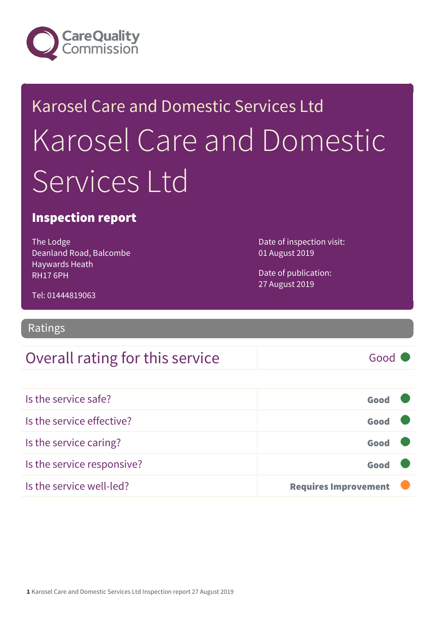

# Karosel Care and Domestic Services Ltd Karosel Care and Domestic Services I td

### Inspection report

The Lodge Deanland Road, Balcombe Haywards Heath RH17 6PH

Date of inspection visit: 01 August 2019

Date of publication: 27 August 2019

Tel: 01444819063

Ratings

### Overall rating for this service and a service of Good

Is the service safe? Good Is the service effective? Contact the service effective? Is the service caring? Good Is the service responsive? Contact the service responsive? Is the service well-led? **Requires Improvement** 

1 Karosel Care and Domestic Services Ltd Inspection report 27 August 2019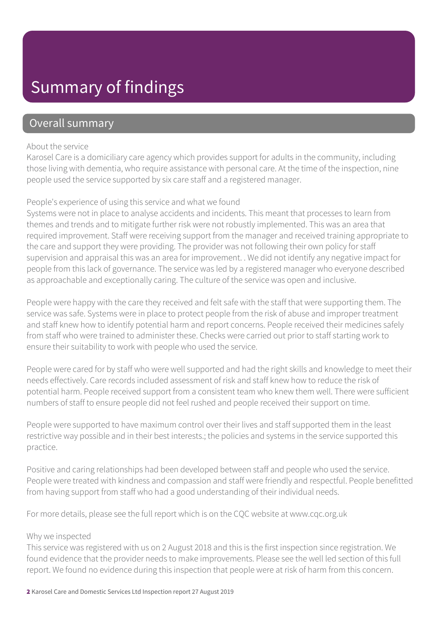### Summary of findings

### Overall summary

#### About the service

Karosel Care is a domiciliary care agency which provides support for adults in the community, including those living with dementia, who require assistance with personal care. At the time of the inspection, nine people used the service supported by six care staff and a registered manager.

#### People's experience of using this service and what we found

Systems were not in place to analyse accidents and incidents. This meant that processes to learn from themes and trends and to mitigate further risk were not robustly implemented. This was an area that required improvement. Staff were receiving support from the manager and received training appropriate to the care and support they were providing. The provider was not following their own policy for staff supervision and appraisal this was an area for improvement. . We did not identify any negative impact for people from this lack of governance. The service was led by a registered manager who everyone described as approachable and exceptionally caring. The culture of the service was open and inclusive.

People were happy with the care they received and felt safe with the staff that were supporting them. The service was safe. Systems were in place to protect people from the risk of abuse and improper treatment and staff knew how to identify potential harm and report concerns. People received their medicines safely from staff who were trained to administer these. Checks were carried out prior to staff starting work to ensure their suitability to work with people who used the service.

People were cared for by staff who were well supported and had the right skills and knowledge to meet their needs effectively. Care records included assessment of risk and staff knew how to reduce the risk of potential harm. People received support from a consistent team who knew them well. There were sufficient numbers of staff to ensure people did not feel rushed and people received their support on time.

People were supported to have maximum control over their lives and staff supported them in the least restrictive way possible and in their best interests.; the policies and systems in the service supported this practice.

Positive and caring relationships had been developed between staff and people who used the service. People were treated with kindness and compassion and staff were friendly and respectful. People benefitted from having support from staff who had a good understanding of their individual needs.

For more details, please see the full report which is on the CQC website at www.cqc.org.uk

#### Why we inspected

This service was registered with us on 2 August 2018 and this is the first inspection since registration. We found evidence that the provider needs to make improvements. Please see the well led section of this full report. We found no evidence during this inspection that people were at risk of harm from this concern.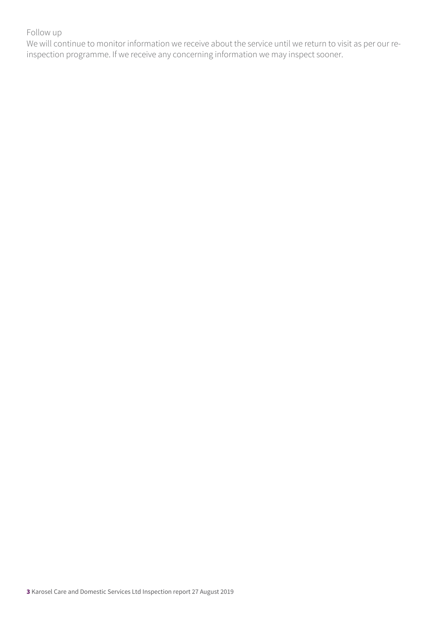#### Follow up

We will continue to monitor information we receive about the service until we return to visit as per our reinspection programme. If we receive any concerning information we may inspect sooner.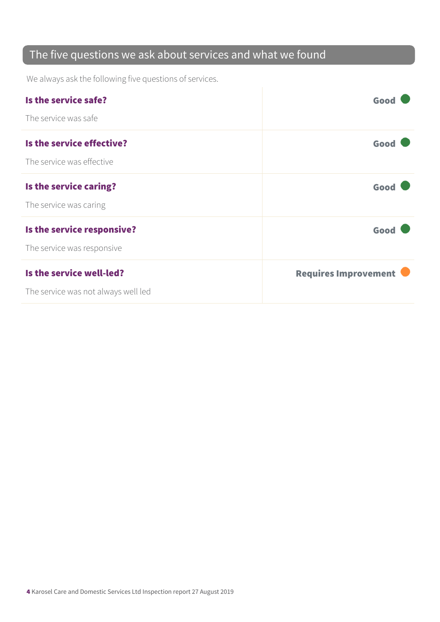### The five questions we ask about services and what we found

We always ask the following five questions of services.

| Is the service safe?                | Good                 |
|-------------------------------------|----------------------|
| The service was safe                |                      |
| Is the service effective?           | Good                 |
| The service was effective           |                      |
| Is the service caring?              | Good                 |
| The service was caring              |                      |
| Is the service responsive?          | Good                 |
| The service was responsive          |                      |
| Is the service well-led?            | Requires Improvement |
| The service was not always well led |                      |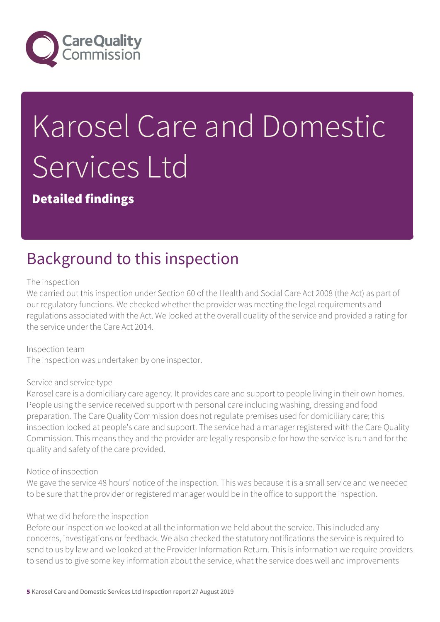

# Karosel Care and Domestic Services Ltd

Detailed findings

## Background to this inspection

#### The inspection

We carried out this inspection under Section 60 of the Health and Social Care Act 2008 (the Act) as part of our regulatory functions. We checked whether the provider was meeting the legal requirements and regulations associated with the Act. We looked at the overall quality of the service and provided a rating for the service under the Care Act 2014.

Inspection team The inspection was undertaken by one inspector.

#### Service and service type

Karosel care is a domiciliary care agency. It provides care and support to people living in their own homes. People using the service received support with personal care including washing, dressing and food preparation. The Care Quality Commission does not regulate premises used for domiciliary care; this inspection looked at people's care and support. The service had a manager registered with the Care Quality Commission. This means they and the provider are legally responsible for how the service is run and for the quality and safety of the care provided.

#### Notice of inspection

We gave the service 48 hours' notice of the inspection. This was because it is a small service and we needed to be sure that the provider or registered manager would be in the office to support the inspection.

#### What we did before the inspection

Before our inspection we looked at all the information we held about the service. This included any concerns, investigations or feedback. We also checked the statutory notifications the service is required to send to us by law and we looked at the Provider Information Return. This is information we require providers to send us to give some key information about the service, what the service does well and improvements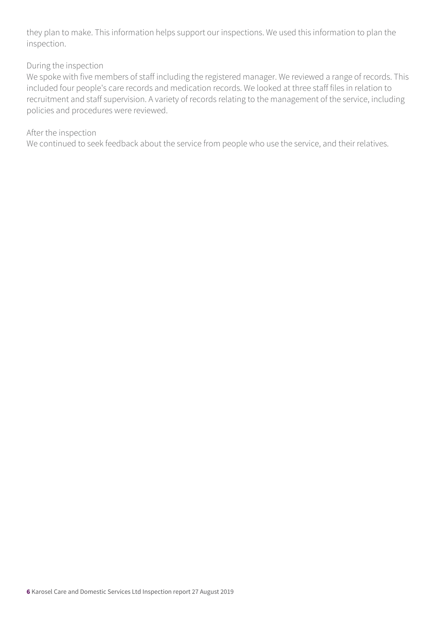they plan to make. This information helps support our inspections. We used this information to plan the inspection.

#### During the inspection

We spoke with five members of staff including the registered manager. We reviewed a range of records. This included four people's care records and medication records. We looked at three staff files in relation to recruitment and staff supervision. A variety of records relating to the management of the service, including policies and procedures were reviewed.

#### After the inspection

We continued to seek feedback about the service from people who use the service, and their relatives.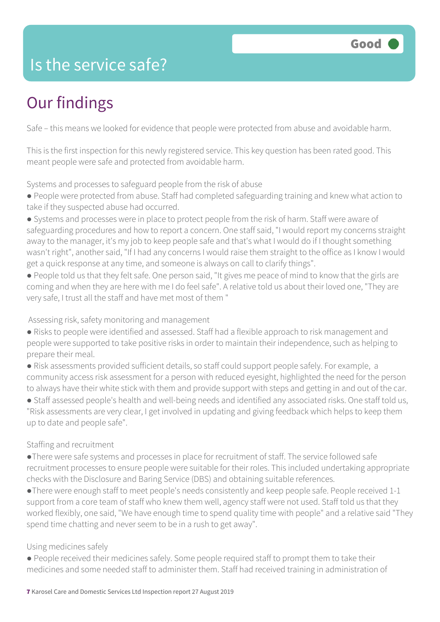### Is the service safe?

# Our findings

Safe – this means we looked for evidence that people were protected from abuse and avoidable harm.

This is the first inspection for this newly registered service. This key question has been rated good. This meant people were safe and protected from avoidable harm.

Systems and processes to safeguard people from the risk of abuse

● People were protected from abuse. Staff had completed safeguarding training and knew what action to take if they suspected abuse had occurred.

● Systems and processes were in place to protect people from the risk of harm. Staff were aware of safeguarding procedures and how to report a concern. One staff said, "I would report my concerns straight away to the manager, it's my job to keep people safe and that's what I would do if I thought something wasn't right", another said, "If I had any concerns I would raise them straight to the office as I know I would get a quick response at any time, and someone is always on call to clarify things".

● People told us that they felt safe. One person said, "It gives me peace of mind to know that the girls are coming and when they are here with me I do feel safe". A relative told us about their loved one, "They are very safe, I trust all the staff and have met most of them "

Assessing risk, safety monitoring and management

● Risks to people were identified and assessed. Staff had a flexible approach to risk management and people were supported to take positive risks in order to maintain their independence, such as helping to prepare their meal.

● Risk assessments provided sufficient details, so staff could support people safely. For example, a community access risk assessment for a person with reduced eyesight, highlighted the need for the person to always have their white stick with them and provide support with steps and getting in and out of the car.

● Staff assessed people's health and well-being needs and identified any associated risks. One staff told us, "Risk assessments are very clear, I get involved in updating and giving feedback which helps to keep them up to date and people safe".

#### Staffing and recruitment

●There were safe systems and processes in place for recruitment of staff. The service followed safe recruitment processes to ensure people were suitable for their roles. This included undertaking appropriate checks with the Disclosure and Baring Service (DBS) and obtaining suitable references.

●There were enough staff to meet people's needs consistently and keep people safe. People received 1-1 support from a core team of staff who knew them well, agency staff were not used. Staff told us that they worked flexibly, one said, "We have enough time to spend quality time with people" and a relative said "They spend time chatting and never seem to be in a rush to get away".

#### Using medicines safely

● People received their medicines safely. Some people required staff to prompt them to take their medicines and some needed staff to administer them. Staff had received training in administration of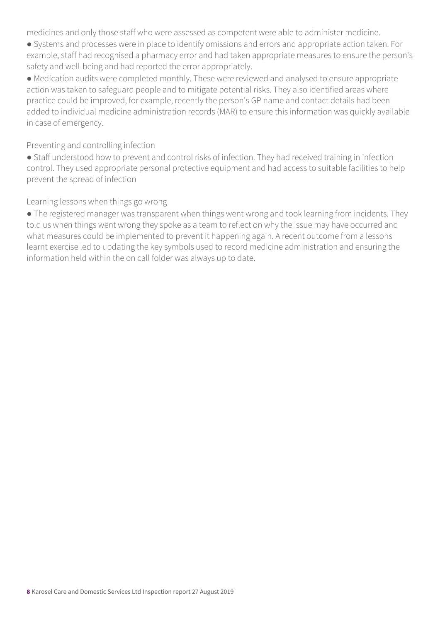medicines and only those staff who were assessed as competent were able to administer medicine.

● Systems and processes were in place to identify omissions and errors and appropriate action taken. For example, staff had recognised a pharmacy error and had taken appropriate measures to ensure the person's safety and well-being and had reported the error appropriately.

● Medication audits were completed monthly. These were reviewed and analysed to ensure appropriate action was taken to safeguard people and to mitigate potential risks. They also identified areas where practice could be improved, for example, recently the person's GP name and contact details had been added to individual medicine administration records (MAR) to ensure this information was quickly available in case of emergency.

Preventing and controlling infection

● Staff understood how to prevent and control risks of infection. They had received training in infection control. They used appropriate personal protective equipment and had access to suitable facilities to help prevent the spread of infection

Learning lessons when things go wrong

• The registered manager was transparent when things went wrong and took learning from incidents. They told us when things went wrong they spoke as a team to reflect on why the issue may have occurred and what measures could be implemented to prevent it happening again. A recent outcome from a lessons learnt exercise led to updating the key symbols used to record medicine administration and ensuring the information held within the on call folder was always up to date.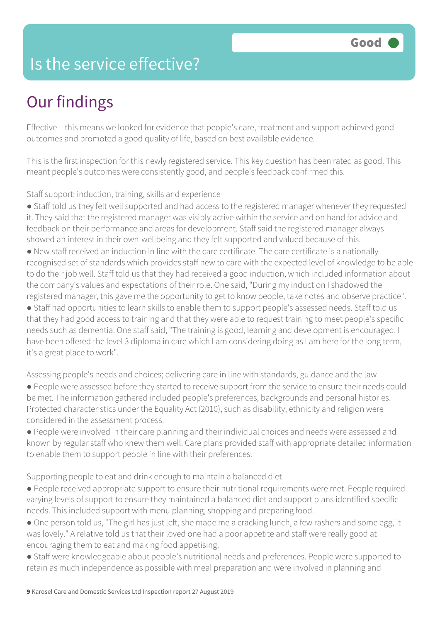### Is the service effective?

## Our findings

Effective – this means we looked for evidence that people's care, treatment and support achieved good outcomes and promoted a good quality of life, based on best available evidence.

This is the first inspection for this newly registered service. This key question has been rated as good. This meant people's outcomes were consistently good, and people's feedback confirmed this.

Staff support: induction, training, skills and experience

● Staff told us they felt well supported and had access to the registered manager whenever they requested it. They said that the registered manager was visibly active within the service and on hand for advice and feedback on their performance and areas for development. Staff said the registered manager always showed an interest in their own-wellbeing and they felt supported and valued because of this.

● New staff received an induction in line with the care certificate. The care certificate is a nationally recognised set of standards which provides staff new to care with the expected level of knowledge to be able to do their job well. Staff told us that they had received a good induction, which included information about the company's values and expectations of their role. One said, "During my induction I shadowed the registered manager, this gave me the opportunity to get to know people, take notes and observe practice".

● Staff had opportunities to learn skills to enable them to support people's assessed needs. Staff told us that they had good access to training and that they were able to request training to meet people's specific needs such as dementia. One staff said, "The training is good, learning and development is encouraged, I have been offered the level 3 diploma in care which I am considering doing as I am here for the long term, it's a great place to work".

Assessing people's needs and choices; delivering care in line with standards, guidance and the law

● People were assessed before they started to receive support from the service to ensure their needs could be met. The information gathered included people's preferences, backgrounds and personal histories. Protected characteristics under the Equality Act (2010), such as disability, ethnicity and religion were considered in the assessment process.

● People were involved in their care planning and their individual choices and needs were assessed and known by regular staff who knew them well. Care plans provided staff with appropriate detailed information to enable them to support people in line with their preferences.

Supporting people to eat and drink enough to maintain a balanced diet

● People received appropriate support to ensure their nutritional requirements were met. People required varying levels of support to ensure they maintained a balanced diet and support plans identified specific needs. This included support with menu planning, shopping and preparing food.

● One person told us, "The girl has just left, she made me a cracking lunch, a few rashers and some egg, it was lovely." A relative told us that their loved one had a poor appetite and staff were really good at encouraging them to eat and making food appetising.

● Staff were knowledgeable about people's nutritional needs and preferences. People were supported to retain as much independence as possible with meal preparation and were involved in planning and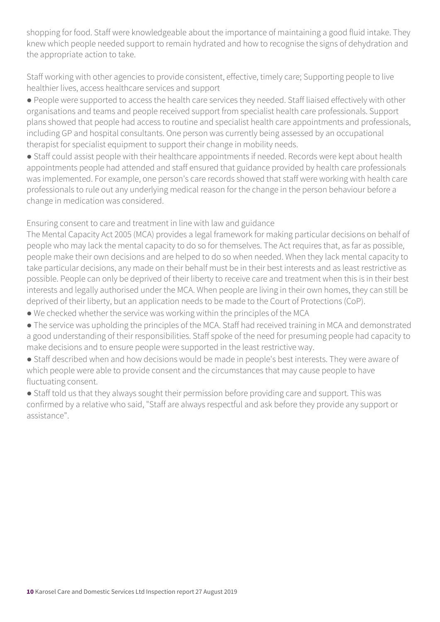shopping for food. Staff were knowledgeable about the importance of maintaining a good fluid intake. They knew which people needed support to remain hydrated and how to recognise the signs of dehydration and the appropriate action to take.

Staff working with other agencies to provide consistent, effective, timely care; Supporting people to live healthier lives, access healthcare services and support

● People were supported to access the health care services they needed. Staff liaised effectively with other organisations and teams and people received support from specialist health care professionals. Support plans showed that people had access to routine and specialist health care appointments and professionals, including GP and hospital consultants. One person was currently being assessed by an occupational therapist for specialist equipment to support their change in mobility needs.

● Staff could assist people with their healthcare appointments if needed. Records were kept about health appointments people had attended and staff ensured that guidance provided by health care professionals was implemented. For example, one person's care records showed that staff were working with health care professionals to rule out any underlying medical reason for the change in the person behaviour before a change in medication was considered.

Ensuring consent to care and treatment in line with law and guidance

The Mental Capacity Act 2005 (MCA) provides a legal framework for making particular decisions on behalf of people who may lack the mental capacity to do so for themselves. The Act requires that, as far as possible, people make their own decisions and are helped to do so when needed. When they lack mental capacity to take particular decisions, any made on their behalf must be in their best interests and as least restrictive as possible. People can only be deprived of their liberty to receive care and treatment when this is in their best interests and legally authorised under the MCA. When people are living in their own homes, they can still be deprived of their liberty, but an application needs to be made to the Court of Protections (CoP).

- We checked whether the service was working within the principles of the MCA
- The service was upholding the principles of the MCA. Staff had received training in MCA and demonstrated a good understanding of their responsibilities. Staff spoke of the need for presuming people had capacity to make decisions and to ensure people were supported in the least restrictive way.
- Staff described when and how decisions would be made in people's best interests. They were aware of which people were able to provide consent and the circumstances that may cause people to have fluctuating consent.
- Staff told us that they always sought their permission before providing care and support. This was confirmed by a relative who said, "Staff are always respectful and ask before they provide any support or assistance".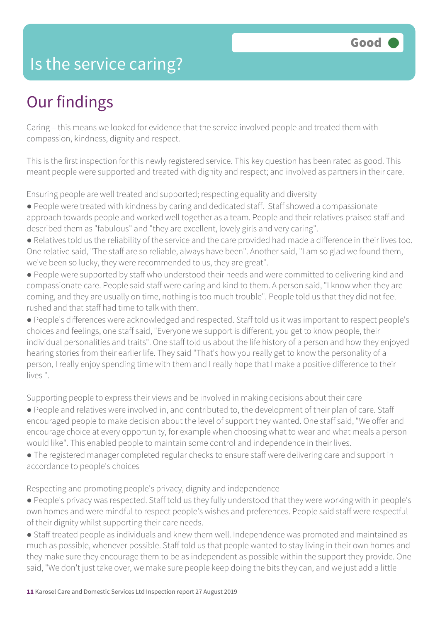### Is the service caring?

## Our findings

Caring – this means we looked for evidence that the service involved people and treated them with compassion, kindness, dignity and respect.

This is the first inspection for this newly registered service. This key question has been rated as good. This meant people were supported and treated with dignity and respect; and involved as partners in their care.

Ensuring people are well treated and supported; respecting equality and diversity

- People were treated with kindness by caring and dedicated staff. Staff showed a compassionate approach towards people and worked well together as a team. People and their relatives praised staff and described them as "fabulous" and "they are excellent, lovely girls and very caring".
- Relatives told us the reliability of the service and the care provided had made a difference in their lives too. One relative said, "The staff are so reliable, always have been". Another said, "I am so glad we found them, we've been so lucky, they were recommended to us, they are great".
- People were supported by staff who understood their needs and were committed to delivering kind and compassionate care. People said staff were caring and kind to them. A person said, "I know when they are coming, and they are usually on time, nothing is too much trouble". People told us that they did not feel rushed and that staff had time to talk with them.
- People's differences were acknowledged and respected. Staff told us it was important to respect people's choices and feelings, one staff said, "Everyone we support is different, you get to know people, their individual personalities and traits". One staff told us about the life history of a person and how they enjoyed hearing stories from their earlier life. They said "That's how you really get to know the personality of a person, I really enjoy spending time with them and I really hope that I make a positive difference to their lives ".

Supporting people to express their views and be involved in making decisions about their care

- People and relatives were involved in, and contributed to, the development of their plan of care. Staff encouraged people to make decision about the level of support they wanted. One staff said, "We offer and encourage choice at every opportunity, for example when choosing what to wear and what meals a person would like". This enabled people to maintain some control and independence in their lives.
- The registered manager completed regular checks to ensure staff were delivering care and support in accordance to people's choices

Respecting and promoting people's privacy, dignity and independence

- People's privacy was respected. Staff told us they fully understood that they were working with in people's own homes and were mindful to respect people's wishes and preferences. People said staff were respectful of their dignity whilst supporting their care needs.
- Staff treated people as individuals and knew them well. Independence was promoted and maintained as much as possible, whenever possible. Staff told us that people wanted to stay living in their own homes and they make sure they encourage them to be as independent as possible within the support they provide. One said, "We don't just take over, we make sure people keep doing the bits they can, and we just add a little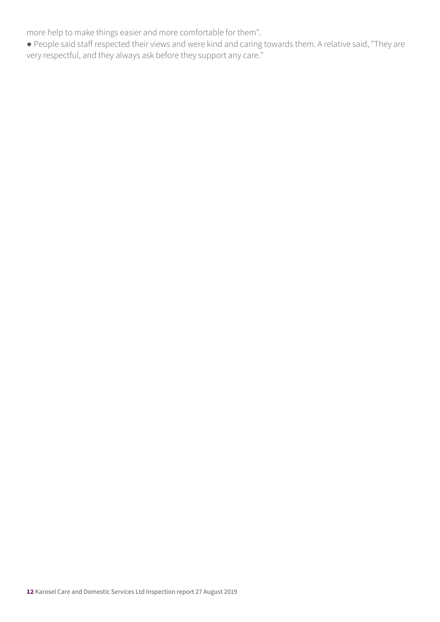more help to make things easier and more comfortable for them".

● People said staff respected their views and were kind and caring towards them. A relative said, "They are very respectful, and they always ask before they support any care."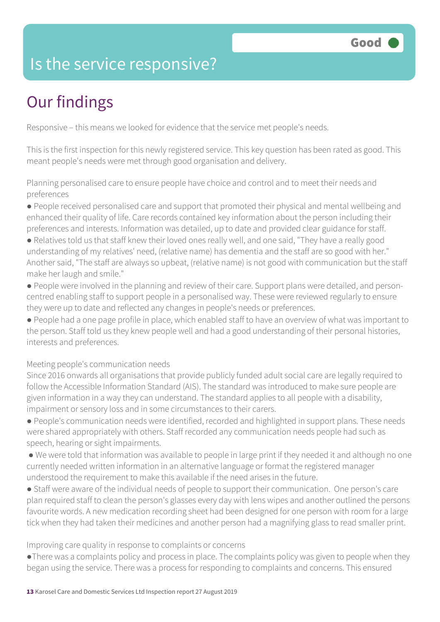### Is the service responsive?

# Our findings

Responsive – this means we looked for evidence that the service met people's needs.

This is the first inspection for this newly registered service. This key question has been rated as good. This meant people's needs were met through good organisation and delivery.

Planning personalised care to ensure people have choice and control and to meet their needs and preferences

- People received personalised care and support that promoted their physical and mental wellbeing and enhanced their quality of life. Care records contained key information about the person including their preferences and interests. Information was detailed, up to date and provided clear guidance for staff.
- Relatives told us that staff knew their loved ones really well, and one said, "They have a really good understanding of my relatives' need, (relative name) has dementia and the staff are so good with her." Another said, "The staff are always so upbeat, (relative name) is not good with communication but the staff make her laugh and smile."
- People were involved in the planning and review of their care. Support plans were detailed, and personcentred enabling staff to support people in a personalised way. These were reviewed regularly to ensure they were up to date and reflected any changes in people's needs or preferences.
- People had a one page profile in place, which enabled staff to have an overview of what was important to the person. Staff told us they knew people well and had a good understanding of their personal histories, interests and preferences.

Meeting people's communication needs

Since 2016 onwards all organisations that provide publicly funded adult social care are legally required to follow the Accessible Information Standard (AIS). The standard was introduced to make sure people are given information in a way they can understand. The standard applies to all people with a disability, impairment or sensory loss and in some circumstances to their carers.

- People's communication needs were identified, recorded and highlighted in support plans. These needs were shared appropriately with others. Staff recorded any communication needs people had such as speech, hearing or sight impairments.
- We were told that information was available to people in large print if they needed it and although no one currently needed written information in an alternative language or format the registered manager understood the requirement to make this available if the need arises in the future.
- Staff were aware of the individual needs of people to support their communication. One person's care plan required staff to clean the person's glasses every day with lens wipes and another outlined the persons favourite words. A new medication recording sheet had been designed for one person with room for a large tick when they had taken their medicines and another person had a magnifying glass to read smaller print.

Improving care quality in response to complaints or concerns

●There was a complaints policy and process in place. The complaints policy was given to people when they began using the service. There was a process for responding to complaints and concerns. This ensured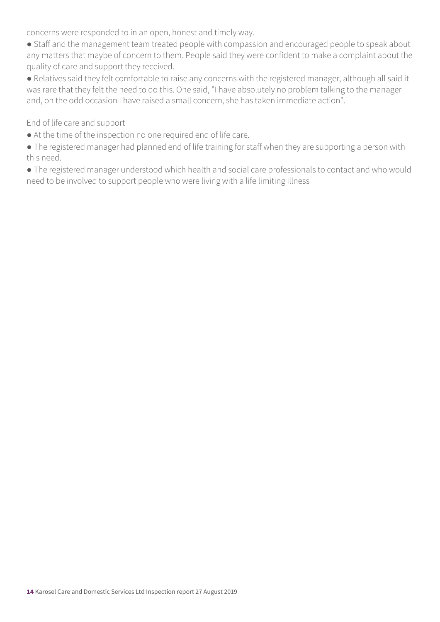concerns were responded to in an open, honest and timely way.

● Staff and the management team treated people with compassion and encouraged people to speak about any matters that maybe of concern to them. People said they were confident to make a complaint about the quality of care and support they received.

● Relatives said they felt comfortable to raise any concerns with the registered manager, although all said it was rare that they felt the need to do this. One said, "I have absolutely no problem talking to the manager and, on the odd occasion I have raised a small concern, she has taken immediate action".

End of life care and support

● At the time of the inspection no one required end of life care.

● The registered manager had planned end of life training for staff when they are supporting a person with this need.

● The registered manager understood which health and social care professionals to contact and who would need to be involved to support people who were living with a life limiting illness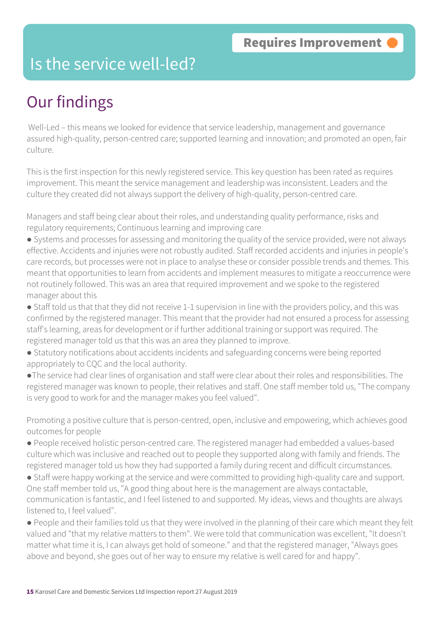### Is the service well-led?

## Our findings

 Well-Led – this means we looked for evidence that service leadership, management and governance assured high-quality, person-centred care; supported learning and innovation; and promoted an open, fair culture.

This is the first inspection for this newly registered service. This key question has been rated as requires improvement. This meant the service management and leadership was inconsistent. Leaders and the culture they created did not always support the delivery of high-quality, person-centred care.

Managers and staff being clear about their roles, and understanding quality performance, risks and regulatory requirements; Continuous learning and improving care

- Systems and processes for assessing and monitoring the quality of the service provided, were not always effective. Accidents and injuries were not robustly audited. Staff recorded accidents and injuries in people's care records, but processes were not in place to analyse these or consider possible trends and themes. This meant that opportunities to learn from accidents and implement measures to mitigate a reoccurrence were not routinely followed. This was an area that required improvement and we spoke to the registered manager about this
- Staff told us that that they did not receive 1-1 supervision in line with the providers policy, and this was confirmed by the registered manager. This meant that the provider had not ensured a process for assessing staff's learning, areas for development or if further additional training or support was required. The registered manager told us that this was an area they planned to improve.
- Statutory notifications about accidents incidents and safeguarding concerns were being reported appropriately to CQC and the local authority.
- ●The service had clear lines of organisation and staff were clear about their roles and responsibilities. The registered manager was known to people, their relatives and staff. One staff member told us, "The company is very good to work for and the manager makes you feel valued".

Promoting a positive culture that is person-centred, open, inclusive and empowering, which achieves good outcomes for people

- People received holistic person-centred care. The registered manager had embedded a values-based culture which was inclusive and reached out to people they supported along with family and friends. The registered manager told us how they had supported a family during recent and difficult circumstances.
- Staff were happy working at the service and were committed to providing high-quality care and support. One staff member told us, "A good thing about here is the management are always contactable, communication is fantastic, and I feel listened to and supported. My ideas, views and thoughts are always listened to, I feel valued".
- People and their families told us that they were involved in the planning of their care which meant they felt valued and "that my relative matters to them". We were told that communication was excellent, "It doesn't matter what time it is, I can always get hold of someone." and that the registered manager, "Always goes above and beyond, she goes out of her way to ensure my relative is well cared for and happy".